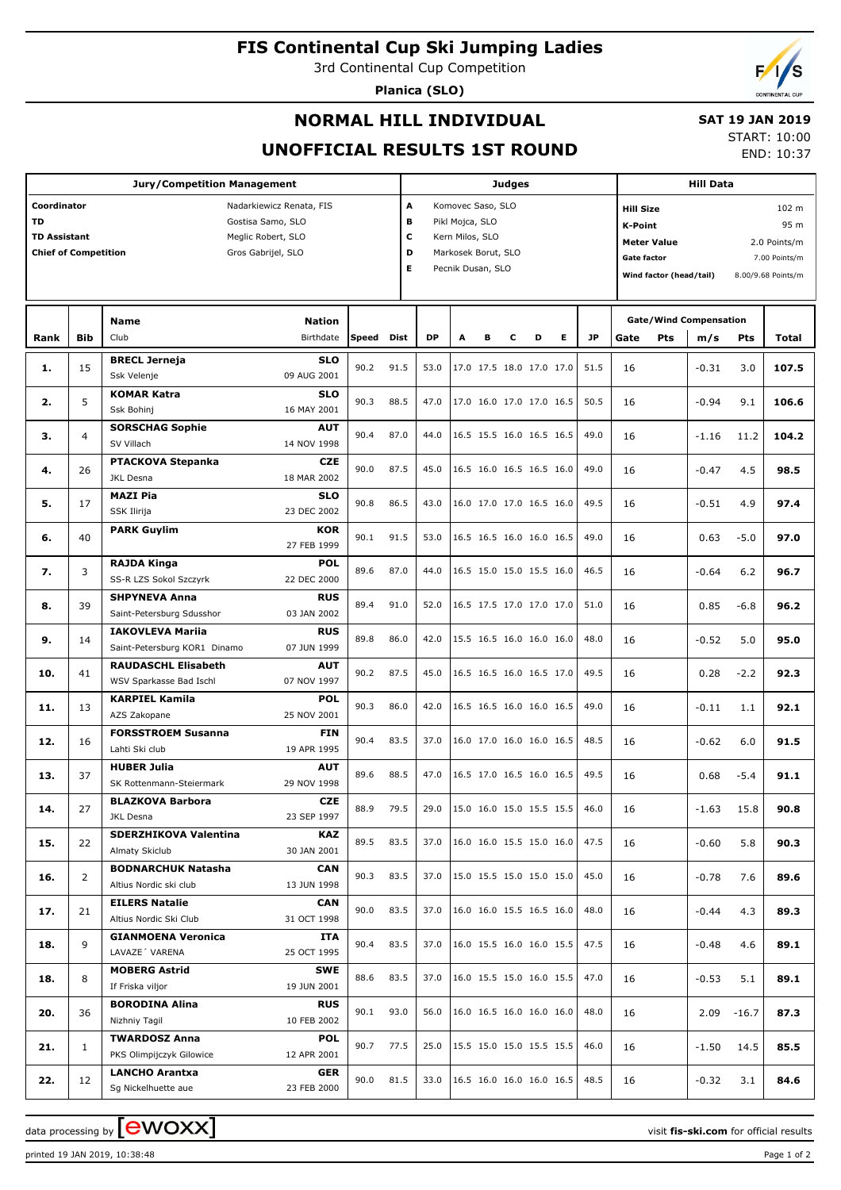# **FIS Continental Cup Ski Jumping Ladies**

3rd Continental Cup Competition

**Planica (SLO)**



### **NORMAL HILL INDIVIDUAL**

## **SAT 19 JAN 2019**

**UNOFFICIAL RESULTS 1ST ROUND**

START: 10:00 END: 10:37

|                     | Jury/Competition Management                                                                                                                                                                 |                              |                          |              |      | <b>Judges</b> |                          |                                 |                                                                                                              |                          |                          |           | <b>Hill Data</b> |                              |                                                                                                                                                                                                                                                                                                                                                                                                       |         |                                                                                                                                                                          |  |
|---------------------|---------------------------------------------------------------------------------------------------------------------------------------------------------------------------------------------|------------------------------|--------------------------|--------------|------|---------------|--------------------------|---------------------------------|--------------------------------------------------------------------------------------------------------------|--------------------------|--------------------------|-----------|------------------|------------------------------|-------------------------------------------------------------------------------------------------------------------------------------------------------------------------------------------------------------------------------------------------------------------------------------------------------------------------------------------------------------------------------------------------------|---------|--------------------------------------------------------------------------------------------------------------------------------------------------------------------------|--|
| Coordinator         |                                                                                                                                                                                             |                              | Nadarkiewicz Renata, FIS |              |      | A             |                          | Komovec Saso, SLO               |                                                                                                              |                          |                          |           | <b>Hill Size</b> |                              |                                                                                                                                                                                                                                                                                                                                                                                                       |         |                                                                                                                                                                          |  |
| <b>TD</b>           |                                                                                                                                                                                             |                              | Gostisa Samo, SLO        |              |      | В             | Pikl Mojca, SLO          |                                 |                                                                                                              |                          |                          |           |                  |                              |                                                                                                                                                                                                                                                                                                                                                                                                       |         |                                                                                                                                                                          |  |
| <b>TD Assistant</b> |                                                                                                                                                                                             |                              | Meglic Robert, SLO       |              |      | c             |                          | Kern Milos, SLO                 |                                                                                                              |                          |                          |           | <b>K-Point</b>   |                              |                                                                                                                                                                                                                                                                                                                                                                                                       |         |                                                                                                                                                                          |  |
|                     |                                                                                                                                                                                             |                              |                          |              |      | D             |                          | Markosek Borut, SLO             |                                                                                                              |                          |                          |           |                  | <b>Meter Value</b>           |                                                                                                                                                                                                                                                                                                                                                                                                       |         |                                                                                                                                                                          |  |
|                     | <b>Chief of Competition</b><br>Gros Gabrijel, SLO                                                                                                                                           |                              |                          |              |      | Е             |                          | Pecnik Dusan, SLO               |                                                                                                              |                          |                          |           |                  | Gate factor<br>7.00 Points/m |                                                                                                                                                                                                                                                                                                                                                                                                       |         |                                                                                                                                                                          |  |
|                     |                                                                                                                                                                                             |                              |                          |              |      |               |                          |                                 |                                                                                                              |                          |                          |           |                  |                              |                                                                                                                                                                                                                                                                                                                                                                                                       |         |                                                                                                                                                                          |  |
|                     |                                                                                                                                                                                             |                              |                          |              |      |               |                          |                                 |                                                                                                              |                          |                          |           |                  |                              |                                                                                                                                                                                                                                                                                                                                                                                                       |         |                                                                                                                                                                          |  |
|                     |                                                                                                                                                                                             |                              |                          |              |      |               |                          |                                 |                                                                                                              |                          |                          |           |                  |                              |                                                                                                                                                                                                                                                                                                                                                                                                       |         |                                                                                                                                                                          |  |
|                     |                                                                                                                                                                                             | <b>Name</b>                  | <b>Nation</b>            |              |      |               |                          |                                 |                                                                                                              |                          |                          |           |                  |                              |                                                                                                                                                                                                                                                                                                                                                                                                       |         |                                                                                                                                                                          |  |
| Rank                |                                                                                                                                                                                             | Club                         | Birthdate                | <b>Speed</b> | Dist | <b>DP</b>     | A                        | в                               | c                                                                                                            | D                        | Е                        | <b>JP</b> | Gate             | <b>Pts</b>                   |                                                                                                                                                                                                                                                                                                                                                                                                       |         |                                                                                                                                                                          |  |
|                     |                                                                                                                                                                                             | <b>BRECL Jerneja</b>         | <b>SLO</b>               | 90.2         | 91.5 | 53.0          |                          |                                 |                                                                                                              | 17.0 17.5 18.0 17.0 17.0 |                          | 51.5      |                  |                              |                                                                                                                                                                                                                                                                                                                                                                                                       |         |                                                                                                                                                                          |  |
|                     |                                                                                                                                                                                             | Ssk Velenje                  | 09 AUG 2001              |              |      |               |                          |                                 |                                                                                                              |                          |                          |           | 16               |                              |                                                                                                                                                                                                                                                                                                                                                                                                       |         |                                                                                                                                                                          |  |
|                     |                                                                                                                                                                                             | <b>KOMAR Katra</b>           | <b>SLO</b>               |              |      |               |                          |                                 |                                                                                                              |                          |                          |           |                  |                              |                                                                                                                                                                                                                                                                                                                                                                                                       |         |                                                                                                                                                                          |  |
|                     |                                                                                                                                                                                             | Ssk Bohinj                   | 16 MAY 2001              | 90.3         | 88.5 | 47.0          |                          |                                 |                                                                                                              | 17.0 16.0 17.0 17.0 16.5 |                          | 50.5      | 16               |                              |                                                                                                                                                                                                                                                                                                                                                                                                       |         |                                                                                                                                                                          |  |
|                     |                                                                                                                                                                                             | <b>SORSCHAG Sophie</b>       | <b>AUT</b>               |              |      |               |                          |                                 |                                                                                                              |                          |                          |           |                  |                              |                                                                                                                                                                                                                                                                                                                                                                                                       |         |                                                                                                                                                                          |  |
|                     |                                                                                                                                                                                             | SV Villach                   | 14 NOV 1998              | 90.4         | 87.0 | 44.0          |                          |                                 |                                                                                                              | 16.5 15.5 16.0 16.5 16.5 |                          | 49.0      | 16               |                              |                                                                                                                                                                                                                                                                                                                                                                                                       |         |                                                                                                                                                                          |  |
|                     |                                                                                                                                                                                             | <b>PTACKOVA Stepanka</b>     | <b>CZE</b>               |              |      |               |                          |                                 |                                                                                                              |                          |                          |           |                  |                              |                                                                                                                                                                                                                                                                                                                                                                                                       |         |                                                                                                                                                                          |  |
| 4.                  | <b>Bib</b><br>15<br>1.<br>5<br>2.<br>$\overline{4}$<br>з.<br>26<br>17<br>5.<br>40<br>6.<br>7.<br>3<br>39<br>8.<br>9.<br>14<br>10.<br>41<br>11.<br>13<br>12.<br>16<br>13.<br>37<br>14.<br>27 | JKL Desna                    | 18 MAR 2002              | 90.0         | 87.5 | 45.0          |                          |                                 |                                                                                                              | 16.5 16.0 16.5 16.5 16.0 |                          | 49.0      | 16               |                              | $-0.47$                                                                                                                                                                                                                                                                                                                                                                                               | 4.5     | 98.5                                                                                                                                                                     |  |
|                     |                                                                                                                                                                                             | <b>MAZI Pia</b>              | <b>SLO</b>               |              |      |               |                          |                                 |                                                                                                              |                          |                          |           |                  |                              |                                                                                                                                                                                                                                                                                                                                                                                                       |         |                                                                                                                                                                          |  |
|                     |                                                                                                                                                                                             | SSK Ilirija                  | 23 DEC 2002              | 90.8         | 86.5 | 43.0          |                          |                                 |                                                                                                              | 16.0 17.0 17.0 16.5 16.0 |                          | 49.5      | 16               |                              | $-0.51$                                                                                                                                                                                                                                                                                                                                                                                               | 4.9     | 97.4                                                                                                                                                                     |  |
|                     |                                                                                                                                                                                             |                              |                          |              |      |               |                          |                                 |                                                                                                              |                          |                          |           |                  |                              |                                                                                                                                                                                                                                                                                                                                                                                                       |         |                                                                                                                                                                          |  |
|                     |                                                                                                                                                                                             | <b>PARK Guylim</b>           | KOR                      | 90.1         | 91.5 | 53.0          |                          |                                 |                                                                                                              | 16.5 16.5 16.0 16.0 16.5 |                          | 49.0      | 16               |                              | 0.63                                                                                                                                                                                                                                                                                                                                                                                                  | $-5.0$  | 97.0                                                                                                                                                                     |  |
|                     |                                                                                                                                                                                             |                              | 27 FEB 1999              |              |      |               |                          |                                 |                                                                                                              |                          |                          |           |                  |                              |                                                                                                                                                                                                                                                                                                                                                                                                       |         |                                                                                                                                                                          |  |
|                     |                                                                                                                                                                                             | <b>RAJDA Kinga</b>           | <b>POL</b>               | 89.6         | 87.0 | 44.0          |                          |                                 |                                                                                                              |                          |                          | 46.5      | 16               |                              | Wind factor (head/tail)<br>8.00/9.68 Points/m<br><b>Gate/Wind Compensation</b><br>m/s<br><b>Pts</b><br>$-0.31$<br>3.0<br>$-0.94$<br>9.1<br>$-1.16$<br>11.2<br>$-0.64$<br>6.2<br>0.85<br>$-6.8$<br>$-0.52$<br>5.0<br>0.28<br>$-2.2$<br>$-0.11$<br>1.1<br>$-0.62$<br>6.0<br>0.68<br>$-5.4$<br>$-1.63$<br>15.8<br>$-0.60$<br>5.8<br>$-0.78$<br>7.6<br>$-0.44$<br>4.3<br>$-0.48$<br>4.6<br>$-0.53$<br>5.1 | 96.7    |                                                                                                                                                                          |  |
|                     |                                                                                                                                                                                             | SS-R LZS Sokol Szczyrk       | 22 DEC 2000              |              |      |               |                          |                                 |                                                                                                              |                          |                          |           |                  |                              |                                                                                                                                                                                                                                                                                                                                                                                                       |         |                                                                                                                                                                          |  |
|                     |                                                                                                                                                                                             | <b>SHPYNEVA Anna</b>         | <b>RUS</b>               | 89.4         | 91.0 | 52.0          |                          |                                 | 16.5 15.0 15.0 15.5 16.0<br>16.5 17.5 17.0 17.0 17.0<br>15.5 16.5 16.0 16.0 16.0<br>16.5 16.5 16.0 16.5 17.0 |                          |                          | 51.0      | 16               |                              |                                                                                                                                                                                                                                                                                                                                                                                                       |         | 96.2                                                                                                                                                                     |  |
|                     |                                                                                                                                                                                             | Saint-Petersburg Sdusshor    | 03 JAN 2002              |              |      |               |                          |                                 |                                                                                                              |                          |                          |           |                  |                              |                                                                                                                                                                                                                                                                                                                                                                                                       |         | 102 m<br>95 m<br><b>Total</b><br>107.5<br>106.6<br>104.2<br>95.0<br>92.3<br>92.1<br>91.5<br>91.1<br>90.8<br>90.3<br>89.6<br>89.3<br>89.1<br>89.1<br>87.3<br>85.5<br>84.6 |  |
|                     |                                                                                                                                                                                             | <b>IAKOVLEVA Mariia</b>      | <b>RUS</b>               | 89.8         | 86.0 | 42.0          |                          |                                 |                                                                                                              |                          |                          | 48.0      | 16               |                              |                                                                                                                                                                                                                                                                                                                                                                                                       |         |                                                                                                                                                                          |  |
|                     |                                                                                                                                                                                             | Saint-Petersburg KOR1 Dinamo | 07 JUN 1999              |              |      |               |                          |                                 |                                                                                                              |                          |                          |           |                  |                              |                                                                                                                                                                                                                                                                                                                                                                                                       |         |                                                                                                                                                                          |  |
|                     |                                                                                                                                                                                             | <b>RAUDASCHL Elisabeth</b>   | <b>AUT</b>               | 90.2         | 87.5 | 45.0          |                          |                                 |                                                                                                              |                          |                          | 49.5      | 16               |                              |                                                                                                                                                                                                                                                                                                                                                                                                       |         |                                                                                                                                                                          |  |
|                     |                                                                                                                                                                                             | WSV Sparkasse Bad Ischl      | 07 NOV 1997              |              |      |               |                          |                                 |                                                                                                              |                          |                          |           |                  |                              |                                                                                                                                                                                                                                                                                                                                                                                                       |         |                                                                                                                                                                          |  |
|                     |                                                                                                                                                                                             | <b>KARPIEL Kamila</b>        | <b>POL</b>               | 90.3         | 86.0 | 42.0          |                          |                                 |                                                                                                              | 16.5 16.5 16.0 16.0 16.5 |                          | 49.0      | 16               |                              |                                                                                                                                                                                                                                                                                                                                                                                                       |         |                                                                                                                                                                          |  |
|                     |                                                                                                                                                                                             | AZS Zakopane                 | 25 NOV 2001              |              |      |               |                          |                                 |                                                                                                              |                          |                          |           |                  |                              |                                                                                                                                                                                                                                                                                                                                                                                                       |         | 2.0 Points/m<br>3.1                                                                                                                                                      |  |
|                     |                                                                                                                                                                                             | <b>FORSSTROEM Susanna</b>    | <b>FIN</b>               | 90.4         | 83.5 | 37.0          |                          |                                 |                                                                                                              | 16.0 17.0 16.0 16.0 16.5 |                          | 48.5      | 16               |                              |                                                                                                                                                                                                                                                                                                                                                                                                       |         |                                                                                                                                                                          |  |
|                     |                                                                                                                                                                                             | Lahti Ski club               | 19 APR 1995              |              |      |               |                          |                                 |                                                                                                              |                          |                          |           |                  |                              |                                                                                                                                                                                                                                                                                                                                                                                                       |         |                                                                                                                                                                          |  |
|                     |                                                                                                                                                                                             | <b>HUBER Julia</b>           | <b>AUT</b>               | 89.6         | 88.5 | 47.0          |                          |                                 |                                                                                                              |                          | 16.5 17.0 16.5 16.0 16.5 | 49.5      | 16               |                              |                                                                                                                                                                                                                                                                                                                                                                                                       |         |                                                                                                                                                                          |  |
|                     |                                                                                                                                                                                             | SK Rottenmann-Steiermark     | 29 NOV 1998              |              |      |               |                          |                                 |                                                                                                              |                          |                          |           |                  |                              |                                                                                                                                                                                                                                                                                                                                                                                                       |         |                                                                                                                                                                          |  |
|                     |                                                                                                                                                                                             | <b>BLAZKOVA Barbora</b>      | CZE                      | 88.9         |      | 29.0          |                          | 15.0 16.0 15.0 15.5 15.5   46.0 |                                                                                                              |                          |                          |           |                  |                              |                                                                                                                                                                                                                                                                                                                                                                                                       |         |                                                                                                                                                                          |  |
|                     |                                                                                                                                                                                             | JKL Desna                    | 23 SEP 1997              |              | 79.5 |               |                          |                                 |                                                                                                              |                          |                          |           | 16               |                              |                                                                                                                                                                                                                                                                                                                                                                                                       |         |                                                                                                                                                                          |  |
| 15.                 | 22                                                                                                                                                                                          | SDERZHIKOVA Valentina        | KAZ                      | 89.5         |      | 37.0          | 16.0 16.0 15.5 15.0 16.0 |                                 |                                                                                                              |                          |                          | 47.5      | 16               |                              |                                                                                                                                                                                                                                                                                                                                                                                                       |         |                                                                                                                                                                          |  |
|                     |                                                                                                                                                                                             | Almaty Skiclub               | 30 JAN 2001              |              | 83.5 |               |                          |                                 |                                                                                                              |                          |                          |           |                  |                              |                                                                                                                                                                                                                                                                                                                                                                                                       |         |                                                                                                                                                                          |  |
|                     |                                                                                                                                                                                             | <b>BODNARCHUK Natasha</b>    | CAN                      |              | 83.5 |               |                          |                                 |                                                                                                              |                          |                          |           |                  |                              |                                                                                                                                                                                                                                                                                                                                                                                                       |         |                                                                                                                                                                          |  |
| 16.                 | $\overline{2}$                                                                                                                                                                              | Altius Nordic ski club       | 13 JUN 1998              | 90.3         |      | 37.0          |                          |                                 |                                                                                                              | 15.0 15.5 15.0 15.0 15.0 |                          | 45.0      | 16               |                              |                                                                                                                                                                                                                                                                                                                                                                                                       |         |                                                                                                                                                                          |  |
|                     |                                                                                                                                                                                             | <b>EILERS Natalie</b>        | CAN                      |              | 83.5 |               |                          |                                 |                                                                                                              |                          |                          |           |                  |                              |                                                                                                                                                                                                                                                                                                                                                                                                       |         |                                                                                                                                                                          |  |
| 17.                 | 21                                                                                                                                                                                          | Altius Nordic Ski Club       | 31 OCT 1998              | 90.0         |      | 37.0          |                          |                                 |                                                                                                              | 16.0 16.0 15.5 16.5 16.0 |                          | 48.0      | 16               |                              |                                                                                                                                                                                                                                                                                                                                                                                                       |         |                                                                                                                                                                          |  |
|                     |                                                                                                                                                                                             | <b>GIANMOENA Veronica</b>    | ITA                      |              |      |               |                          |                                 |                                                                                                              |                          |                          |           |                  |                              |                                                                                                                                                                                                                                                                                                                                                                                                       |         |                                                                                                                                                                          |  |
| 18.                 | 9                                                                                                                                                                                           | LAVAZE <sup>'</sup> VARENA   | 25 OCT 1995              | 90.4         | 83.5 | 37.0          |                          |                                 |                                                                                                              | 16.0 15.5 16.0 16.0 15.5 |                          | 47.5      | 16               |                              |                                                                                                                                                                                                                                                                                                                                                                                                       |         |                                                                                                                                                                          |  |
|                     |                                                                                                                                                                                             | <b>MOBERG Astrid</b>         | SWE                      |              |      |               |                          |                                 |                                                                                                              |                          |                          |           |                  |                              |                                                                                                                                                                                                                                                                                                                                                                                                       |         |                                                                                                                                                                          |  |
| 18.                 | 8                                                                                                                                                                                           | If Friska viljor             | 19 JUN 2001              | 88.6         | 83.5 | 37.0          |                          |                                 |                                                                                                              |                          | 16.0 15.5 15.0 16.0 15.5 | 47.0      | 16               |                              |                                                                                                                                                                                                                                                                                                                                                                                                       |         |                                                                                                                                                                          |  |
|                     |                                                                                                                                                                                             | <b>BORODINA Alina</b>        | <b>RUS</b>               |              |      |               |                          |                                 |                                                                                                              |                          |                          |           |                  |                              |                                                                                                                                                                                                                                                                                                                                                                                                       |         |                                                                                                                                                                          |  |
| 20.                 | 36                                                                                                                                                                                          | Nizhniy Tagil                | 10 FEB 2002              | 90.1         | 93.0 | 56.0          |                          |                                 |                                                                                                              |                          | 16.0 16.5 16.0 16.0 16.0 | 48.0      | 16               |                              | 2.09                                                                                                                                                                                                                                                                                                                                                                                                  | $-16.7$ |                                                                                                                                                                          |  |
|                     |                                                                                                                                                                                             |                              |                          |              |      |               |                          |                                 |                                                                                                              |                          |                          |           |                  |                              |                                                                                                                                                                                                                                                                                                                                                                                                       |         |                                                                                                                                                                          |  |
| 21.                 | $\mathbf{1}$                                                                                                                                                                                | <b>TWARDOSZ Anna</b>         | <b>POL</b>               | 90.7         | 77.5 | 25.0          |                          |                                 |                                                                                                              |                          | 15.5 15.0 15.0 15.5 15.5 | 46.0      | 16               |                              | $-1.50$                                                                                                                                                                                                                                                                                                                                                                                               | 14.5    |                                                                                                                                                                          |  |
|                     |                                                                                                                                                                                             | PKS Olimpijczyk Gilowice     | 12 APR 2001              |              |      |               |                          |                                 |                                                                                                              |                          |                          |           |                  |                              |                                                                                                                                                                                                                                                                                                                                                                                                       |         |                                                                                                                                                                          |  |
| 22.                 | 12                                                                                                                                                                                          | <b>LANCHO Arantxa</b>        | <b>GER</b>               | 90.0         | 81.5 | 33.0          |                          |                                 |                                                                                                              | 16.5 16.0 16.0 16.0 16.5 |                          | 48.5      | 16               |                              | $-0.32$                                                                                                                                                                                                                                                                                                                                                                                               |         |                                                                                                                                                                          |  |
|                     |                                                                                                                                                                                             | Sg Nickelhuette aue          | 23 FEB 2000              |              |      |               |                          |                                 |                                                                                                              |                          |                          |           |                  |                              |                                                                                                                                                                                                                                                                                                                                                                                                       |         |                                                                                                                                                                          |  |

data processing by **CWOXX**  $\blacksquare$